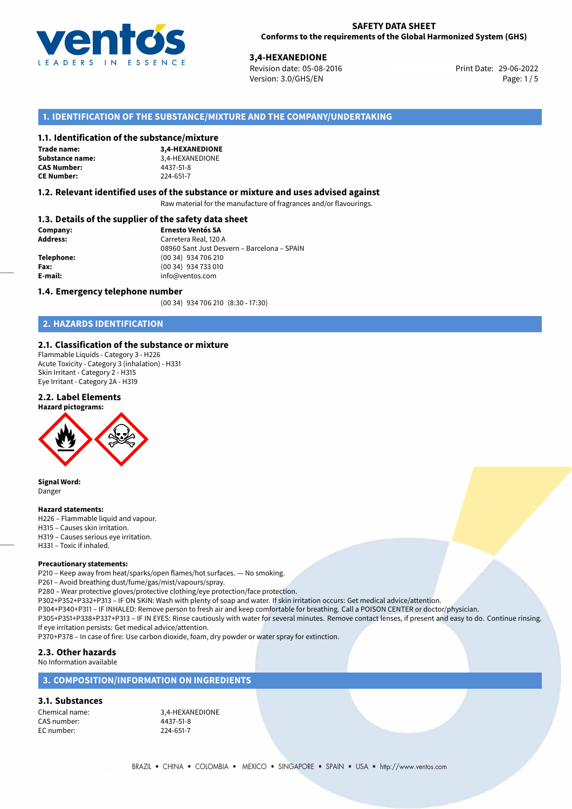

**2,4-HEXANEDIONE**<br>
Revision date: 05-08-2016 **Revision date: 05-08-2016** Print Date: 29-06-2022 Version: 3.0/GHS/EN Page: 1/5

# **1. IDENTIFICATION OF THE SUBSTANCE/MIXTURE AND THE COMPANY/UNDERTAKING**

#### **1.1. Identification of the substance/mixture**

**Trade name: CAS Number: CE Number:** 224-651-7

**3,4-HEXANEDIONE Substance name:** 3,4-HEXANEDIONE

#### **1.2. Relevant identified uses of the substance or mixture and uses advised against**

Raw material for the manufacture of fragrances and/or flavourings.

## **1.3. Details of the supplier of the safety data sheet**

| Company:   | <b>Ernesto Ventós SA</b>                                             |  |
|------------|----------------------------------------------------------------------|--|
| Address:   | Carretera Real, 120 A<br>08960 Sant Just Desvern - Barcelona - SPAIN |  |
|            |                                                                      |  |
| Telephone: | (00 34) 934 706 210                                                  |  |
| Fax:       | (00 34) 934 733 010                                                  |  |
| E-mail:    | info@ventos.com                                                      |  |
|            |                                                                      |  |

#### **1.4. Emergency telephone number**

(00 34) 934 706 210 (8:30 - 17:30)

# **2. HAZARDS IDENTIFICATION**

### **2.1. Classification of the substance or mixture**

Flammable Liquids - Category 3 - H226 Acute Toxicity - Category 3 (inhalation) - H331 Skin Irritant - Category 2 - H315 Eye Irritant - Category 2A - H319

#### **2.2. Label Elements**





**Signal Word:** Danger

#### **Hazard statements:**

H226 – Flammable liquid and vapour. H315 – Causes skin irritation. H319 – Causes serious eye irritation. H331 – Toxic if inhaled.

#### **Precautionary statements:**

P210 – Keep away from heat/sparks/open flames/hot surfaces. — No smoking.

P261 – Avoid breathing dust/fume/gas/mist/vapours/spray.

P280 – Wear protective gloves/protective clothing/eye protection/face protection.

P302+P352+P332+P313 – IF ON SKIN: Wash with plenty of soap and water. If skin irritation occurs: Get medical advice/attention.

P304+P340+P311 – IF INHALED: Remove person to fresh air and keep comfortable for breathing. Call a POISON CENTER or doctor/physician.

P305+P351+P338+P337+P313 – IF IN EYES: Rinse cautiously with water for several minutes. Remove contact lenses, if present and easy to do. Continue rinsing.

If eye irritation persists: Get medical advice/attention.

P370+P378 – In case of fire: Use carbon dioxide, foam, dry powder or water spray for extinction.

#### **2.3. Other hazards**

No Information available

#### **3. COMPOSITION/INFORMATION ON INGREDIENTS**

# **3.1. Substances**

CAS number: 4437-51-8 EC number:

Chemical name: 3,4-HEXANEDIONE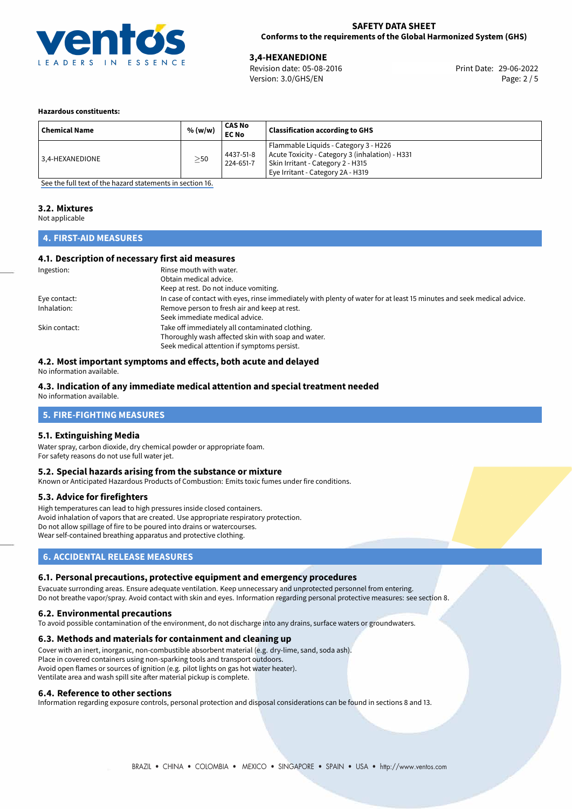

Version: 3.0/GHS/EN Page: 2 / 5

29-06-2022 **3,4-HEXANEDIONE** Revision date: 05-08-2016 Print Date:

#### **Hazardous constituents:**

| <b>Chemical Name</b> | % (w/w)   | CAS No<br><b>EC No</b> | <b>Classification according to GHS</b>                                                                                                                             |
|----------------------|-----------|------------------------|--------------------------------------------------------------------------------------------------------------------------------------------------------------------|
| 3.4-HEXANEDIONE      | $\geq$ 50 | 4437-51-8<br>224-651-7 | Flammable Liquids - Category 3 - H226<br>Acute Toxicity - Category 3 (inhalation) - H331<br>Skin Irritant - Category 2 - H315<br>Eye Irritant - Category 2A - H319 |

[See the full text of the hazard statements in section 16.](#page-4-0)

# **3.2. Mixtures**

Not applicable

# **4. FIRST-AID MEASURES**

### **4.1. Description of necessary first aid measures**

| Ingestion:    | Rinse mouth with water.<br>Obtain medical advice.                                                                                                    |
|---------------|------------------------------------------------------------------------------------------------------------------------------------------------------|
|               | Keep at rest. Do not induce vomiting.                                                                                                                |
| Eye contact:  | In case of contact with eyes, rinse immediately with plenty of water for at least 15 minutes and seek medical advice.                                |
| Inhalation:   | Remove person to fresh air and keep at rest.<br>Seek immediate medical advice.                                                                       |
| Skin contact: | Take off immediately all contaminated clothing.<br>Thoroughly wash affected skin with soap and water.<br>Seek medical attention if symptoms persist. |

# **4.2. Most important symptoms and effects, both acute and delayed**

No information available.

# **4.3. Indication of any immediate medical attention and special treatment needed**

No information available.

# **5. FIRE-FIGHTING MEASURES**

#### **5.1. Extinguishing Media**

Water spray, carbon dioxide, dry chemical powder or appropriate foam. For safety reasons do not use full water jet.

#### **5.2. Special hazards arising from the substance or mixture**

Known or Anticipated Hazardous Products of Combustion: Emits toxic fumes under fire conditions.

#### **5.3. Advice for firefighters**

High temperatures can lead to high pressures inside closed containers. Avoid inhalation of vapors that are created. Use appropriate respiratory protection. Do not allow spillage of fire to be poured into drains or watercourses. Wear self-contained breathing apparatus and protective clothing.

# **6. ACCIDENTAL RELEASE MEASURES**

#### **6.1. Personal precautions, protective equipment and emergency procedures**

Evacuate surronding areas. Ensure adequate ventilation. Keep unnecessary and unprotected personnel from entering. Do not breathe vapor/spray. Avoid contact with skin and eyes. Information regarding personal protective measures: see section 8.

#### **6.2. Environmental precautions**

To avoid possible contamination of the environment, do not discharge into any drains, surface waters or groundwaters.

#### **6.3. Methods and materials for containment and cleaning up**

Cover with an inert, inorganic, non-combustible absorbent material (e.g. dry-lime, sand, soda ash). Place in covered containers using non-sparking tools and transport outdoors. Avoid open flames or sources of ignition (e.g. pilot lights on gas hot water heater). Ventilate area and wash spill site after material pickup is complete.

#### **6.4. Reference to other sections**

Information regarding exposure controls, personal protection and disposal considerations can be found in sections 8 and 13.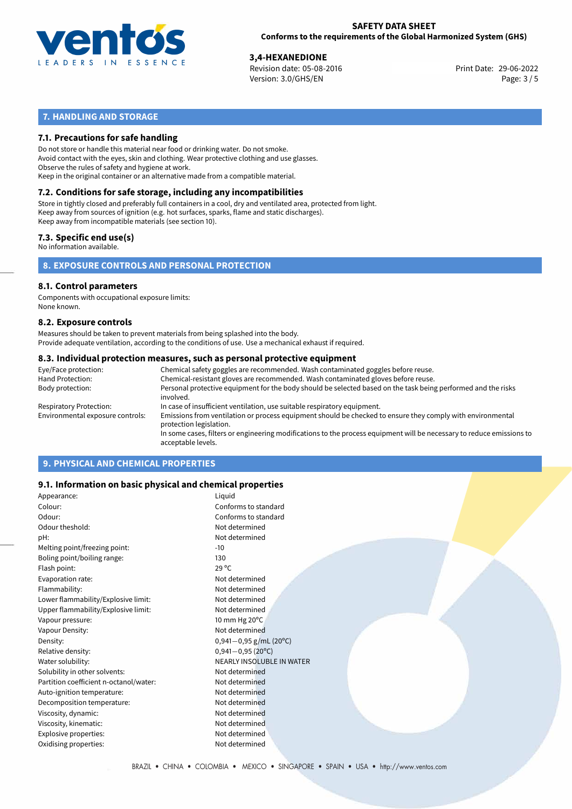

29-06-2022 **3,4-HEXANEDIONE** Revision date: 05-08-2016 Print Date: Version: 3.0/GHS/EN Page: 3 / 5

# **7. HANDLING AND STORAGE**

## **7.1. Precautions for safe handling**

Do not store or handle this material near food or drinking water. Do not smoke. Avoid contact with the eyes, skin and clothing. Wear protective clothing and use glasses. Observe the rules of safety and hygiene at work. Keep in the original container or an alternative made from a compatible material.

# **7.2. Conditions for safe storage, including any incompatibilities**

Store in tightly closed and preferably full containers in a cool, dry and ventilated area, protected from light. Keep away from sources of ignition (e.g. hot surfaces, sparks, flame and static discharges). Keep away from incompatible materials (see section 10).

### **7.3. Specific end use(s)**

No information available.

**8. EXPOSURE CONTROLS AND PERSONAL PROTECTION**

# **8.1. Control parameters**

Components with occupational exposure limits: None known.

#### **8.2. Exposure controls**

Measures should be taken to prevent materials from being splashed into the body. Provide adequate ventilation, according to the conditions of use. Use a mechanical exhaust if required.

#### **8.3. Individual protection measures, such as personal protective equipment**

| Eye/Face protection:             | Chemical safety goggles are recommended. Wash contaminated goggles before reuse.                                                            |  |  |  |
|----------------------------------|---------------------------------------------------------------------------------------------------------------------------------------------|--|--|--|
| Hand Protection:                 | Chemical-resistant gloves are recommended. Wash contaminated gloves before reuse.                                                           |  |  |  |
| Body protection:                 | Personal protective equipment for the body should be selected based on the task being performed and the risks<br>involved.                  |  |  |  |
| Respiratory Protection:          | In case of insufficient ventilation, use suitable respiratory equipment.                                                                    |  |  |  |
| Environmental exposure controls: | Emissions from ventilation or process equipment should be checked to ensure they comply with environmental<br>protection legislation.       |  |  |  |
|                                  | In some cases, filters or engineering modifications to the process equipment will be necessary to reduce emissions to<br>acceptable levels. |  |  |  |
|                                  |                                                                                                                                             |  |  |  |

# **9. PHYSICAL AND CHEMICAL PROPERTIES**

### **9.1. Information on basic physical and chemical properties**

| Appearance:                            | Liguid                      |
|----------------------------------------|-----------------------------|
| Colour:                                | Conforms to standard        |
| Odour:                                 | Conforms to standard        |
| Odour theshold:                        | Not determined              |
| pH:                                    | Not determined              |
| Melting point/freezing point:          | -10                         |
| Boling point/boiling range:            | 130                         |
| Flash point:                           | $29^{\circ}$ C              |
| Evaporation rate:                      | Not determined              |
| Flammability:                          | Not determined              |
| Lower flammability/Explosive limit:    | Not determined              |
| Upper flammability/Explosive limit:    | Not determined              |
| Vapour pressure:                       | 10 mm Hg 20°C               |
| Vapour Density:                        | Not determined              |
| Density:                               | 0,941 $-0$ ,95 g/mL (20°C)  |
| Relative density:                      | $0,941 - 0,95(20^{\circ}C)$ |
| Water solubility:                      | NEARLY INSOLUBLE IN WATER   |
| Solubility in other solvents:          | Not determined              |
| Partition coefficient n-octanol/water: | Not determined              |
| Auto-ignition temperature:             | Not determined              |
| Decomposition temperature:             | Not determined              |
| Viscosity, dynamic:                    | Not determined              |
| Viscosity, kinematic:                  | Not determined              |
| Explosive properties:                  | Not determined              |
| Oxidising properties:                  | Not determined              |
|                                        |                             |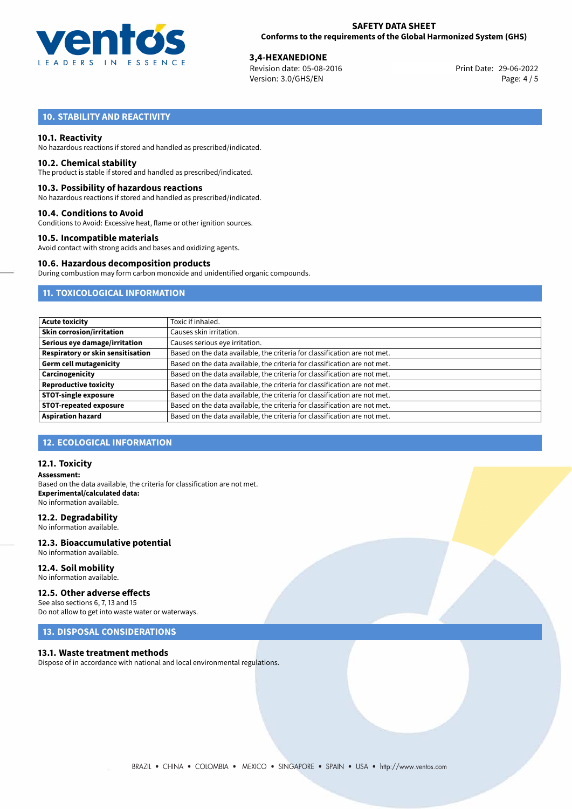

29-06-2022 **3,4-HEXANEDIONE** Revision date: 05-08-2016 Print Date: Version: 3.0/GHS/EN Page: 4 / 5

# **10. STABILITY AND REACTIVITY**

#### **10.1. Reactivity**

No hazardous reactions if stored and handled as prescribed/indicated.

#### **10.2. Chemical stability**

The product is stable if stored and handled as prescribed/indicated.

#### **10.3. Possibility of hazardous reactions**

No hazardous reactions if stored and handled as prescribed/indicated.

#### **10.4. Conditions to Avoid**

Conditions to Avoid: Excessive heat, flame or other ignition sources.

#### **10.5. Incompatible materials**

Avoid contact with strong acids and bases and oxidizing agents.

#### **10.6. Hazardous decomposition products**

During combustion may form carbon monoxide and unidentified organic compounds.

# **11. TOXICOLOGICAL INFORMATION**

| <b>Acute toxicity</b>             | Toxic if inhaled.                                                         |
|-----------------------------------|---------------------------------------------------------------------------|
| <b>Skin corrosion/irritation</b>  | Causes skin irritation.                                                   |
| Serious eye damage/irritation     | Causes serious eye irritation.                                            |
| Respiratory or skin sensitisation | Based on the data available, the criteria for classification are not met. |
| <b>Germ cell mutagenicity</b>     | Based on the data available, the criteria for classification are not met. |
| Carcinogenicity                   | Based on the data available, the criteria for classification are not met. |
| <b>Reproductive toxicity</b>      | Based on the data available, the criteria for classification are not met. |
| <b>STOT-single exposure</b>       | Based on the data available, the criteria for classification are not met. |
| <b>STOT-repeated exposure</b>     | Based on the data available, the criteria for classification are not met. |
| <b>Aspiration hazard</b>          | Based on the data available, the criteria for classification are not met. |

# **12. ECOLOGICAL INFORMATION**

#### **12.1. Toxicity**

**Assessment:** Based on the data available, the criteria for classification are not met. **Experimental/calculated data:** No information available.

#### **12.2. Degradability**

No information available.

#### **12.3. Bioaccumulative potential** No information available.

**12.4. Soil mobility**

# No information available.

### **12.5. Other adverse effects**

See also sections 6, 7, 13 and 15 Do not allow to get into waste water or waterways.

# **13. DISPOSAL CONSIDERATIONS**

#### **13.1. Waste treatment methods**

Dispose of in accordance with national and local environmental regulations.